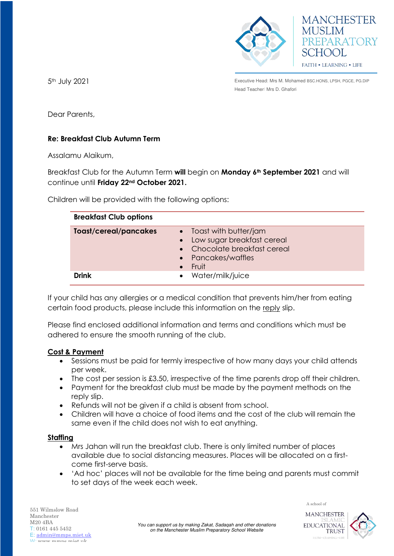



5th July 2021

Dear Parents,

# **Re: Breakfast Club Autumn Term**

Assalamu Alaikum,

Breakfast Club for the Autumn Term **will** begin on **Monday 6th September 2021** and will continue until **Friday 22nd October 2021.**

Children will be provided with the following options:

| <b>Breakfast Club options</b> |                                                                                                                                 |
|-------------------------------|---------------------------------------------------------------------------------------------------------------------------------|
| <b>Toast/cereal/pancakes</b>  | • Toast with butter/jam<br>Low sugar breakfast cereal<br>• Chocolate breakfast cereal<br>Pancakes/waffles<br>$\bullet$<br>Fruit |
| Drink                         | Water/milk/juice                                                                                                                |

If your child has any allergies or a medical condition that prevents him/her from eating certain food products, please include this information on the reply slip.

Please find enclosed additional information and terms and conditions which must be adhered to ensure the smooth running of the club.

# **Cost & Payment**

- Sessions must be paid for termly irrespective of how many days your child attends per week.
- The cost per session is £3.50, irrespective of the time parents drop off their children.
- Payment for the breakfast club must be made by the payment methods on the reply slip.
- Refunds will not be given if a child is absent from school.
- Children will have a choice of food items and the cost of the club will remain the same even if the child does not wish to eat anything.

#### **Staffing**

- Mrs Jahan will run the breakfast club. There is only limited number of places available due to social distancing measures. Places will be allocated on a firstcome first-serve basis.
- 'Ad hoc' places will not be available for the time being and parents must commit to set days of the week each week.

551 Wilmslow Road Manchester M20 4BA T: 0161 445 5452 E: [admin@mmps.miet.uk](mailto:admin@mmps.miet.uk) W: www.mmps.miet.uk



A school of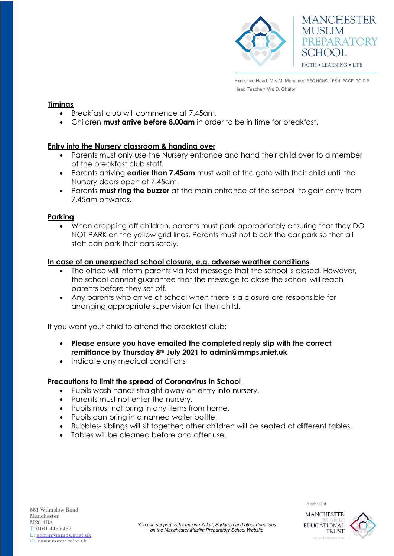



### **Timings**

- Breakfast club will commence at 7.45am.
- Children **must arrive before 8.00am** in order to be in time for breakfast.

### **Entry into the Nursery classroom & handing over**

- Parents must only use the Nursery entrance and hand their child over to a member of the breakfast club staff.
- Parents arriving **earlier than 7.45am** must wait at the gate with their child until the Nursery doors open at 7.45am.
- Parents **must ring the buzzer** at the main entrance of the school to gain entry from 7.45am onwards.

#### **Parking**

 When dropping off children, parents must park appropriately ensuring that they DO NOT PARK on the yellow grid lines. Parents must not block the car park so that all staff can park their cars safely.

#### **In case of an unexpected school closure, e.g. adverse weather conditions**

- The office will inform parents via text message that the school is closed. However, the school cannot guarantee that the message to close the school will reach parents before they set off.
- Any parents who arrive at school when there is a closure are responsible for arranging appropriate supervision for their child.

If you want your child to attend the breakfast club:

- **Please ensure you have emailed the completed reply slip with the correct remittance by Thursday 8th July 2021 to admin@mmps.miet.uk**
- Indicate any medical conditions

# **Precautions to limit the spread of Coronavirus in School**

- Pupils wash hands straight away on entry into nursery.
- Parents must not enter the nursery.
- Pupils must not bring in any items from home.
- Pupils can bring in a named water bottle.
- Bubbles- siblings will sit together; other children will be seated at different tables.
- Tables will be cleaned before and after use.



A school of

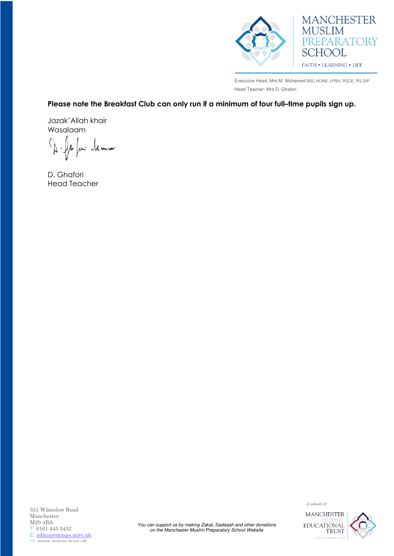

### **Please note the Breakfast Club can only run if a minimum of four full–time pupils sign up.**

Jazak'Allah khair Wasalaam

D. fo for have

D. Ghafori Head Teacher

A school of

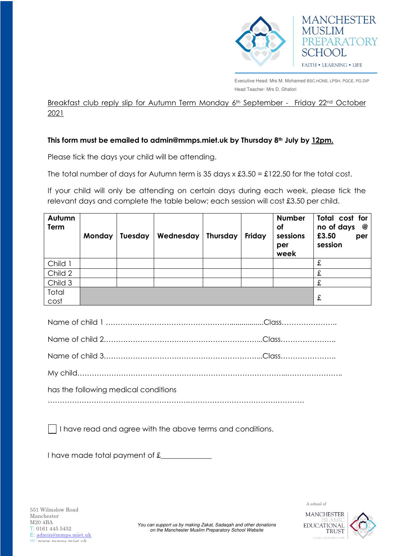

**MANCHESTER** 

PREPARATORY

**MUSLIM** 

SCHOOL

FAITH . LEARNING . LIFE

Breakfast club reply slip for Autumn Term Monday 6<sup>th</sup> September - Friday 22<sup>nd</sup> October 2021

# **This form must be emailed to admin@mmps.miet.uk by Thursday 8th July by 12pm.**

Please tick the days your child will be attending.

The total number of days for Autumn term is 35 days  $x £3.50 = £122.50$  for the total cost.

If your child will only be attending on certain days during each week, please tick the relevant days and complete the table below; each session will cost £3.50 per child.

| Autumn<br>Term | Monday | <b>Tuesday</b> | Wednesday | <b>Thursday</b> | Friday | <b>Number</b><br><b>of</b><br>sessions<br>per<br>week | Total cost for<br>no of days<br>@<br>£3.50<br>per<br>session |
|----------------|--------|----------------|-----------|-----------------|--------|-------------------------------------------------------|--------------------------------------------------------------|
| Child 1        |        |                |           |                 |        |                                                       | £                                                            |
| Child 2        |        |                |           |                 |        |                                                       | £                                                            |
| Child 3        |        |                |           |                 |        |                                                       | £                                                            |
| Total          |        |                |           |                 |        |                                                       | £                                                            |
| cost           |        |                |           |                 |        |                                                       |                                                              |

| has the following medical conditions |  |
|--------------------------------------|--|
|                                      |  |

I have read and agree with the above terms and conditions.

I have made total payment of  $f_{\text{max}}$